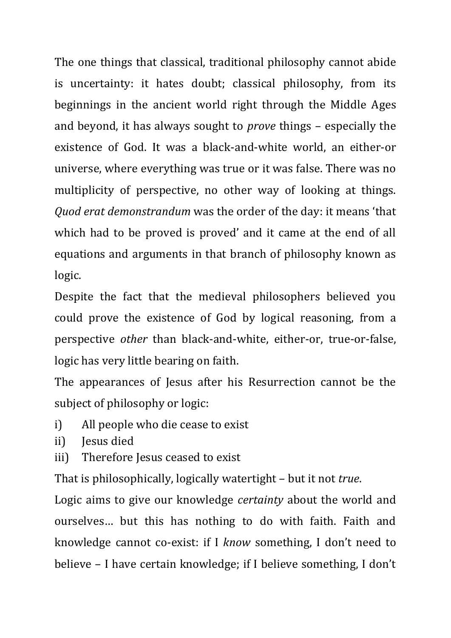The one things that classical, traditional philosophy cannot abide is uncertainty: it hates doubt; classical philosophy, from its beginnings in the ancient world right through the Middle Ages and beyond, it has always sought to *prove* things – especially the existence of God. It was a black-and-white world, an either-or universe, where everything was true or it was false. There was no multiplicity of perspective, no other way of looking at things. *Quod erat demonstrandum* was the order of the day: it means 'that which had to be proved is proved' and it came at the end of all equations and arguments in that branch of philosophy known as logic.

Despite the fact that the medieval philosophers believed you could prove the existence of God by logical reasoning, from a perspective *other* than black-and-white, either-or, true-or-false, logic has very little bearing on faith.

The appearances of Jesus after his Resurrection cannot be the subject of philosophy or logic:

- i) All people who die cease to exist
- ii) Jesus died
- iii) Therefore Jesus ceased to exist

That is philosophically, logically watertight – but it not *true*.

Logic aims to give our knowledge *certainty* about the world and ourselves… but this has nothing to do with faith. Faith and knowledge cannot co-exist: if I *know* something, I don't need to believe – I have certain knowledge; if I believe something, I don't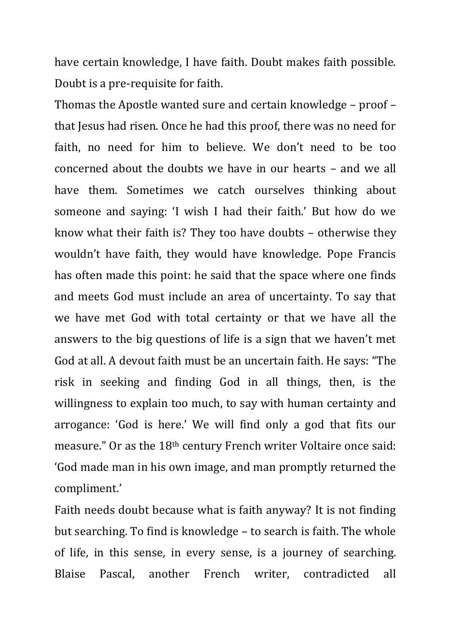have certain knowledge, I have faith. Doubt makes faith possible. Doubt is a pre-requisite for faith.

Thomas the Apostle wanted sure and certain knowledge – proof – that Jesus had risen. Once he had this proof, there was no need for faith, no need for him to believe. We don't need to be too concerned about the doubts we have in our hearts – and we all have them. Sometimes we catch ourselves thinking about someone and saying: 'I wish I had their faith.' But how do we know what their faith is? They too have doubts – otherwise they wouldn't have faith, they would have knowledge. Pope Francis has often made this point: he said that the space where one finds and meets God must include an area of uncertainty. To say that we have met God with total certainty or that we have all the answers to the big questions of life is a sign that we haven't met God at all. A devout faith must be an uncertain faith. He says: "The risk in seeking and finding God in all things, then, is the willingness to explain too much, to say with human certainty and arrogance: 'God is here.' We will find only a god that fits our measure." Or as the 18th century French writer Voltaire once said: 'God made man in his own image, and man promptly returned the compliment.'

Faith needs doubt because what is faith anyway? It is not finding but searching. To find is knowledge – to search is faith. The whole of life, in this sense, in every sense, is a journey of searching. Blaise Pascal, another French writer, contradicted all